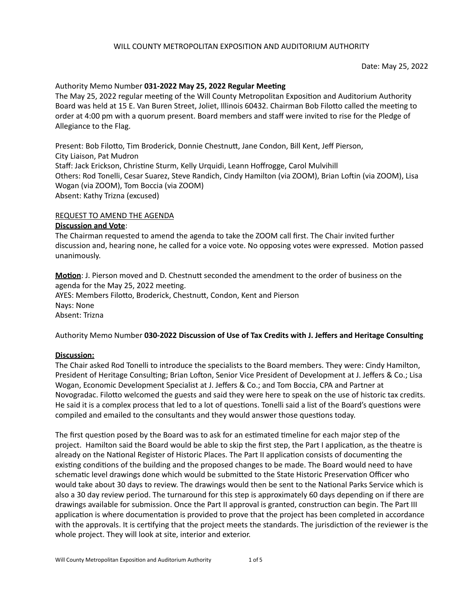### Date: May 25, 2022

## Authority Memo Number 031-2022 May 25, 2022 Regular Meeting

The May 25, 2022 regular meeting of the Will County Metropolitan Exposition and Auditorium Authority Board was held at 15 E. Van Buren Street, Joliet, Illinois 60432. Chairman Bob Filotto called the meeting to order at 4:00 pm with a quorum present. Board members and staff were invited to rise for the Pledge of Allegiance to the Flag.

Present: Bob Filotto, Tim Broderick, Donnie Chestnutt, Jane Condon, Bill Kent, Jeff Pierson, City Liaison, Pat Mudron Staff: Jack Erickson, Christine Sturm, Kelly Urquidi, Leann Hoffrogge, Carol Mulvihill Others: Rod Tonelli, Cesar Suarez, Steve Randich, Cindy Hamilton (via ZOOM), Brian Loftin (via ZOOM), Lisa Wogan (via ZOOM), Tom Boccia (via ZOOM) Absent: Kathy Trizna (excused)

### REQUEST TO AMEND THE AGENDA

### **Discussion and Vote**:

The Chairman requested to amend the agenda to take the ZOOM call first. The Chair invited further discussion and, hearing none, he called for a voice vote. No opposing votes were expressed. Motion passed unanimously. 

**Motion**: J. Pierson moved and D. Chestnutt seconded the amendment to the order of business on the agenda for the May 25, 2022 meeting. AYES: Members Filotto, Broderick, Chestnutt, Condon, Kent and Pierson Nays: None Absent: Trizna

Authority Memo Number 030-2022 Discussion of Use of Tax Credits with J. Jeffers and Heritage Consulting

### **Discussion:**

The Chair asked Rod Tonelli to introduce the specialists to the Board members. They were: Cindy Hamilton, President of Heritage Consulting; Brian Lofton, Senior Vice President of Development at J. Jeffers & Co.; Lisa Wogan, Economic Development Specialist at J. Jeffers & Co.; and Tom Boccia, CPA and Partner at Novogradac. Filotto welcomed the guests and said they were here to speak on the use of historic tax credits. He said it is a complex process that led to a lot of questions. Tonelli said a list of the Board's questions were compiled and emailed to the consultants and they would answer those questions today.

The first question posed by the Board was to ask for an estimated timeline for each major step of the project. Hamilton said the Board would be able to skip the first step, the Part I application, as the theatre is already on the National Register of Historic Places. The Part II application consists of documenting the existing conditions of the building and the proposed changes to be made. The Board would need to have schematic level drawings done which would be submitted to the State Historic Preservation Officer who would take about 30 days to review. The drawings would then be sent to the National Parks Service which is also a 30 day review period. The turnaround for this step is approximately 60 days depending on if there are drawings available for submission. Once the Part II approval is granted, construction can begin. The Part III application is where documentation is provided to prove that the project has been completed in accordance with the approvals. It is certifying that the project meets the standards. The jurisdiction of the reviewer is the whole project. They will look at site, interior and exterior.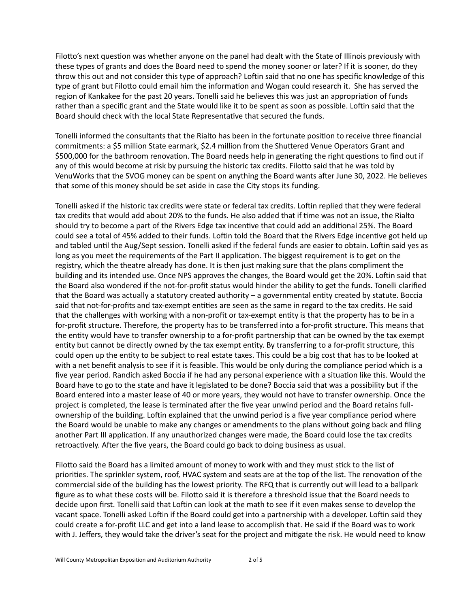Filotto's next question was whether anyone on the panel had dealt with the State of Illinois previously with these types of grants and does the Board need to spend the money sooner or later? If it is sooner, do they throw this out and not consider this type of approach? Loftin said that no one has specific knowledge of this type of grant but Filotto could email him the information and Wogan could research it. She has served the region of Kankakee for the past 20 years. Tonelli said he believes this was just an appropriation of funds rather than a specific grant and the State would like it to be spent as soon as possible. Loftin said that the Board should check with the local State Representative that secured the funds.

Tonelli informed the consultants that the Rialto has been in the fortunate position to receive three financial commitments: a \$5 million State earmark, \$2.4 million from the Shuttered Venue Operators Grant and \$500,000 for the bathroom renovation. The Board needs help in generating the right questions to find out if any of this would become at risk by pursuing the historic tax credits. Filotto said that he was told by VenuWorks that the SVOG money can be spent on anything the Board wants after June 30, 2022. He believes that some of this money should be set aside in case the City stops its funding.

Tonelli asked if the historic tax credits were state or federal tax credits. Loftin replied that they were federal tax credits that would add about 20% to the funds. He also added that if time was not an issue, the Rialto should try to become a part of the Rivers Edge tax incentive that could add an additional 25%. The Board could see a total of 45% added to their funds. Loftin told the Board that the Rivers Edge incentive got held up and tabled until the Aug/Sept session. Tonelli asked if the federal funds are easier to obtain. Loftin said yes as long as you meet the requirements of the Part II application. The biggest requirement is to get on the registry, which the theatre already has done. It is then just making sure that the plans compliment the building and its intended use. Once NPS approves the changes, the Board would get the 20%. Loftin said that the Board also wondered if the not-for-profit status would hinder the ability to get the funds. Tonelli clarified that the Board was actually a statutory created authority  $-$  a governmental entity created by statute. Boccia said that not-for-profits and tax-exempt entities are seen as the same in regard to the tax credits. He said that the challenges with working with a non-profit or tax-exempt entity is that the property has to be in a for-profit structure. Therefore, the property has to be transferred into a for-profit structure. This means that the entity would have to transfer ownership to a for-profit partnership that can be owned by the tax exempt entity but cannot be directly owned by the tax exempt entity. By transferring to a for-profit structure, this could open up the entity to be subject to real estate taxes. This could be a big cost that has to be looked at with a net benefit analysis to see if it is feasible. This would be only during the compliance period which is a five year period. Randich asked Boccia if he had any personal experience with a situation like this. Would the Board have to go to the state and have it legislated to be done? Boccia said that was a possibility but if the Board entered into a master lease of 40 or more years, they would not have to transfer ownership. Once the project is completed, the lease is terminated after the five year unwind period and the Board retains fullownership of the building. Loftin explained that the unwind period is a five year compliance period where the Board would be unable to make any changes or amendments to the plans without going back and filing another Part III application. If any unauthorized changes were made, the Board could lose the tax credits retroactively. After the five years, the Board could go back to doing business as usual.

Filotto said the Board has a limited amount of money to work with and they must stick to the list of priorities. The sprinkler system, roof, HVAC system and seats are at the top of the list. The renovation of the commercial side of the building has the lowest priority. The RFQ that is currently out will lead to a ballpark figure as to what these costs will be. Filotto said it is therefore a threshold issue that the Board needs to decide upon first. Tonelli said that Loftin can look at the math to see if it even makes sense to develop the vacant space. Tonelli asked Loftin if the Board could get into a partnership with a developer. Loftin said they could create a for-profit LLC and get into a land lease to accomplish that. He said if the Board was to work with J. Jeffers, they would take the driver's seat for the project and mitigate the risk. He would need to know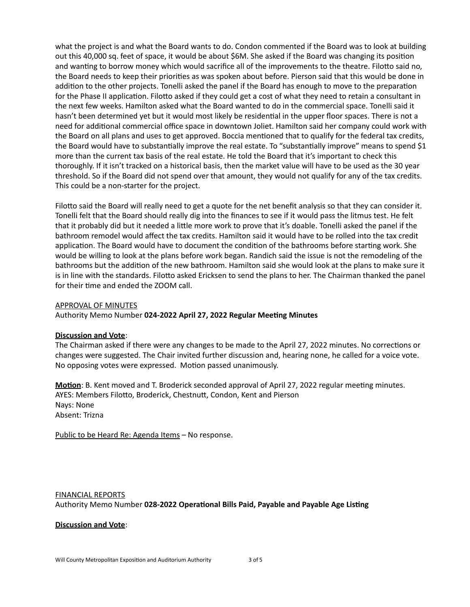what the project is and what the Board wants to do. Condon commented if the Board was to look at building out this 40,000 sq. feet of space, it would be about \$6M. She asked if the Board was changing its position and wanting to borrow money which would sacrifice all of the improvements to the theatre. Filotto said no, the Board needs to keep their priorities as was spoken about before. Pierson said that this would be done in addition to the other projects. Tonelli asked the panel if the Board has enough to move to the preparation for the Phase II application. Filotto asked if they could get a cost of what they need to retain a consultant in the next few weeks. Hamilton asked what the Board wanted to do in the commercial space. Tonelli said it hasn't been determined yet but it would most likely be residential in the upper floor spaces. There is not a need for additional commercial office space in downtown Joliet. Hamilton said her company could work with the Board on all plans and uses to get approved. Boccia mentioned that to qualify for the federal tax credits, the Board would have to substantially improve the real estate. To "substantially improve" means to spend \$1 more than the current tax basis of the real estate. He told the Board that it's important to check this thoroughly. If it isn't tracked on a historical basis, then the market value will have to be used as the 30 year threshold. So if the Board did not spend over that amount, they would not qualify for any of the tax credits. This could be a non-starter for the project.

Filotto said the Board will really need to get a quote for the net benefit analysis so that they can consider it. Tonelli felt that the Board should really dig into the finances to see if it would pass the litmus test. He felt that it probably did but it needed a little more work to prove that it's doable. Tonelli asked the panel if the bathroom remodel would affect the tax credits. Hamilton said it would have to be rolled into the tax credit application. The Board would have to document the condition of the bathrooms before starting work. She would be willing to look at the plans before work began. Randich said the issue is not the remodeling of the bathrooms but the addition of the new bathroom. Hamilton said she would look at the plans to make sure it is in line with the standards. Filotto asked Ericksen to send the plans to her. The Chairman thanked the panel for their time and ended the ZOOM call.

# APPROVAL OF MINUTES

Authority Memo Number 024-2022 April 27, 2022 Regular Meeting Minutes

### **Discussion and Vote:**

The Chairman asked if there were any changes to be made to the April 27, 2022 minutes. No corrections or changes were suggested. The Chair invited further discussion and, hearing none, he called for a voice vote. No opposing votes were expressed. Motion passed unanimously.

**Motion**: B. Kent moved and T. Broderick seconded approval of April 27, 2022 regular meeting minutes. AYES: Members Filotto, Broderick, Chestnutt, Condon, Kent and Pierson Nays: None Absent: Trizna

Public to be Heard Re: Agenda Items - No response.

FINANCIAL REPORTS Authority Memo Number 028-2022 Operational Bills Paid, Payable and Payable Age Listing

### **Discussion and Vote**: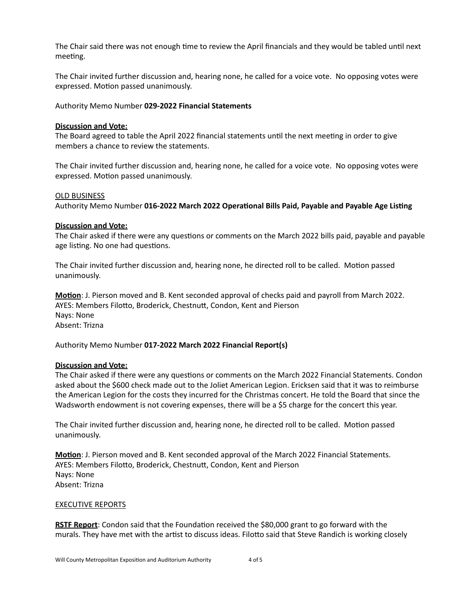The Chair said there was not enough time to review the April financials and they would be tabled until next meeting.

The Chair invited further discussion and, hearing none, he called for a voice vote. No opposing votes were expressed. Motion passed unanimously.

Authority Memo Number **029-2022 Financial Statements**

### **Discussion and Vote:**

The Board agreed to table the April 2022 financial statements until the next meeting in order to give members a chance to review the statements.

The Chair invited further discussion and, hearing none, he called for a voice vote. No opposing votes were expressed. Motion passed unanimously.

### **OLD BUSINESS**

Authority Memo Number 016-2022 March 2022 Operational Bills Paid, Payable and Payable Age Listing

### **Discussion and Vote:**

The Chair asked if there were any questions or comments on the March 2022 bills paid, payable and payable age listing. No one had questions.

The Chair invited further discussion and, hearing none, he directed roll to be called. Motion passed unanimously.

**Motion**: J. Pierson moved and B. Kent seconded approval of checks paid and payroll from March 2022. AYES: Members Filotto, Broderick, Chestnutt, Condon, Kent and Pierson Nays: None Absent: Trizna

Authority Memo Number 017-2022 March 2022 Financial Report(s)

### **Discussion and Vote:**

The Chair asked if there were any questions or comments on the March 2022 Financial Statements. Condon asked about the \$600 check made out to the Joliet American Legion. Ericksen said that it was to reimburse the American Legion for the costs they incurred for the Christmas concert. He told the Board that since the Wadsworth endowment is not covering expenses, there will be a \$5 charge for the concert this year.

The Chair invited further discussion and, hearing none, he directed roll to be called. Motion passed unanimously.

**Motion**: J. Pierson moved and B. Kent seconded approval of the March 2022 Financial Statements. AYES: Members Filotto, Broderick, Chestnutt, Condon, Kent and Pierson Nays: None Absent: Trizna

### **EXECUTIVE REPORTS**

**RSTF Report:** Condon said that the Foundation received the \$80,000 grant to go forward with the murals. They have met with the artist to discuss ideas. Filotto said that Steve Randich is working closely